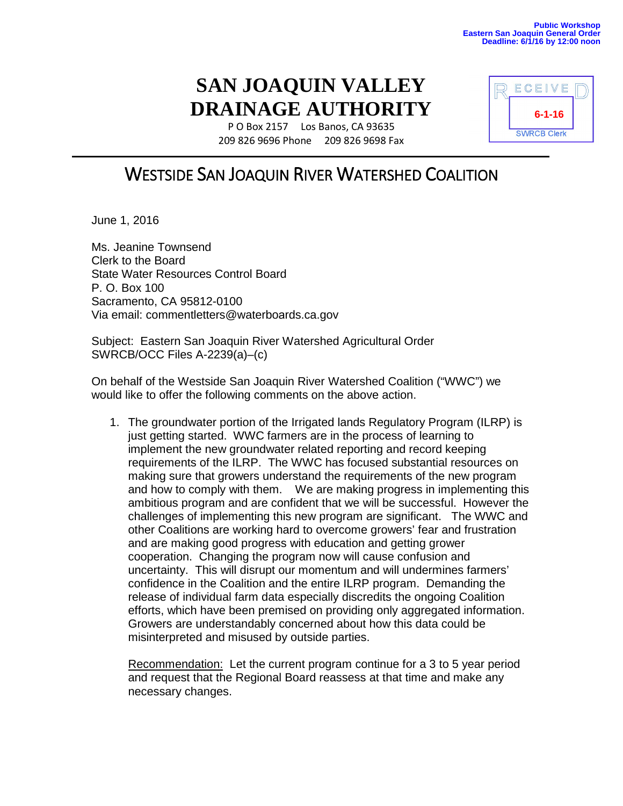## **SAN JOAQUIN VALLEY DRAINAGE AUTHORITY**

P O Box 2157 Los Banos, CA 93635 209 826 9696 Phone 209 826 9698 Fax



June 1, 2016

Ms. Jeanine Townsend Clerk to the Board State Water Resources Control Board P. O. Box 100 Sacramento, CA 95812-0100 Via email: commentletters@waterboards.ca.gov

Subject: Eastern San Joaquin River Watershed Agricultural Order SWRCB/OCC Files A-2239(a)–(c)

On behalf of the Westside San Joaquin River Watershed Coalition ("WWC") we would like to offer the following comments on the above action.

1. The groundwater portion of the Irrigated lands Regulatory Program (ILRP) is just getting started. WWC farmers are in the process of learning to implement the new groundwater related reporting and record keeping requirements of the ILRP. The WWC has focused substantial resources on making sure that growers understand the requirements of the new program and how to comply with them. We are making progress in implementing this ambitious program and are confident that we will be successful. However the challenges of implementing this new program are significant. The WWC and other Coalitions are working hard to overcome growers' fear and frustration and are making good progress with education and getting grower cooperation. Changing the program now will cause confusion and uncertainty. This will disrupt our momentum and will undermines farmers' confidence in the Coalition and the entire ILRP program. Demanding the release of individual farm data especially discredits the ongoing Coalition efforts, which have been premised on providing only aggregated information. Growers are understandably concerned about how this data could be misinterpreted and misused by outside parties.

Recommendation: Let the current program continue for a 3 to 5 year period and request that the Regional Board reassess at that time and make any necessary changes.

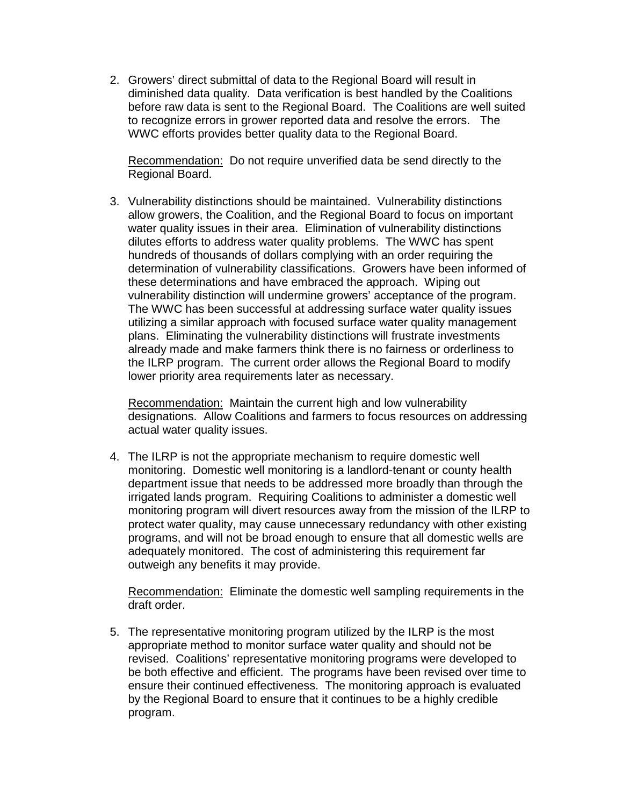2. Growers' direct submittal of data to the Regional Board will result in diminished data quality. Data verification is best handled by the Coalitions before raw data is sent to the Regional Board. The Coalitions are well suited to recognize errors in grower reported data and resolve the errors. The WWC efforts provides better quality data to the Regional Board.

Recommendation: Do not require unverified data be send directly to the Regional Board.

3. Vulnerability distinctions should be maintained. Vulnerability distinctions allow growers, the Coalition, and the Regional Board to focus on important water quality issues in their area. Elimination of vulnerability distinctions dilutes efforts to address water quality problems. The WWC has spent hundreds of thousands of dollars complying with an order requiring the determination of vulnerability classifications. Growers have been informed of these determinations and have embraced the approach. Wiping out vulnerability distinction will undermine growers' acceptance of the program. The WWC has been successful at addressing surface water quality issues utilizing a similar approach with focused surface water quality management plans. Eliminating the vulnerability distinctions will frustrate investments already made and make farmers think there is no fairness or orderliness to the ILRP program. The current order allows the Regional Board to modify lower priority area requirements later as necessary.

Recommendation: Maintain the current high and low vulnerability designations. Allow Coalitions and farmers to focus resources on addressing actual water quality issues.

4. The ILRP is not the appropriate mechanism to require domestic well monitoring. Domestic well monitoring is a landlord-tenant or county health department issue that needs to be addressed more broadly than through the irrigated lands program. Requiring Coalitions to administer a domestic well monitoring program will divert resources away from the mission of the ILRP to protect water quality, may cause unnecessary redundancy with other existing programs, and will not be broad enough to ensure that all domestic wells are adequately monitored. The cost of administering this requirement far outweigh any benefits it may provide.

Recommendation: Eliminate the domestic well sampling requirements in the draft order.

5. The representative monitoring program utilized by the ILRP is the most appropriate method to monitor surface water quality and should not be revised. Coalitions' representative monitoring programs were developed to be both effective and efficient. The programs have been revised over time to ensure their continued effectiveness. The monitoring approach is evaluated by the Regional Board to ensure that it continues to be a highly credible program.